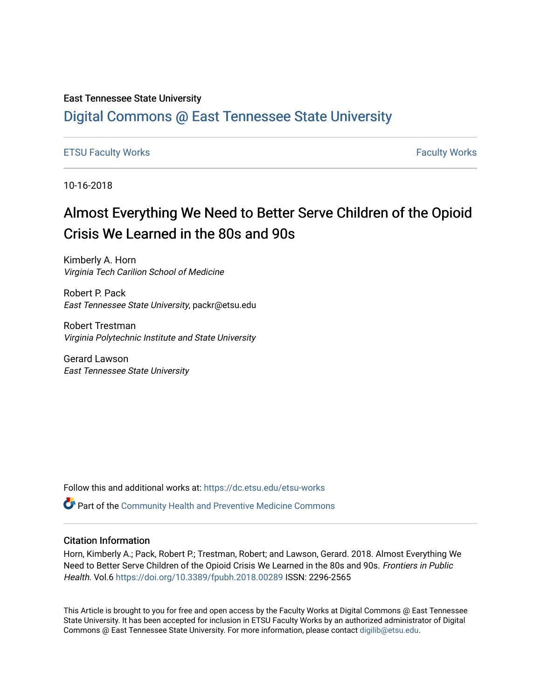### East Tennessee State University

# [Digital Commons @ East Tennessee State University](https://dc.etsu.edu/)

### [ETSU Faculty Works](https://dc.etsu.edu/etsu-works) [Faculty Works](https://dc.etsu.edu/faculty-works)

10-16-2018

# Almost Everything We Need to Better Serve Children of the Opioid Crisis We Learned in the 80s and 90s

Kimberly A. Horn Virginia Tech Carilion School of Medicine

Robert P. Pack East Tennessee State University, packr@etsu.edu

Robert Trestman Virginia Polytechnic Institute and State University

Gerard Lawson East Tennessee State University

Follow this and additional works at: [https://dc.etsu.edu/etsu-works](https://dc.etsu.edu/etsu-works?utm_source=dc.etsu.edu%2Fetsu-works%2F7837&utm_medium=PDF&utm_campaign=PDFCoverPages) 

Part of the [Community Health and Preventive Medicine Commons](http://network.bepress.com/hgg/discipline/744?utm_source=dc.etsu.edu%2Fetsu-works%2F7837&utm_medium=PDF&utm_campaign=PDFCoverPages)

### Citation Information

Horn, Kimberly A.; Pack, Robert P.; Trestman, Robert; and Lawson, Gerard. 2018. Almost Everything We Need to Better Serve Children of the Opioid Crisis We Learned in the 80s and 90s. Frontiers in Public Health. Vol.6<https://doi.org/10.3389/fpubh.2018.00289> ISSN: 2296-2565

This Article is brought to you for free and open access by the Faculty Works at Digital Commons @ East Tennessee State University. It has been accepted for inclusion in ETSU Faculty Works by an authorized administrator of Digital Commons @ East Tennessee State University. For more information, please contact [digilib@etsu.edu.](mailto:digilib@etsu.edu)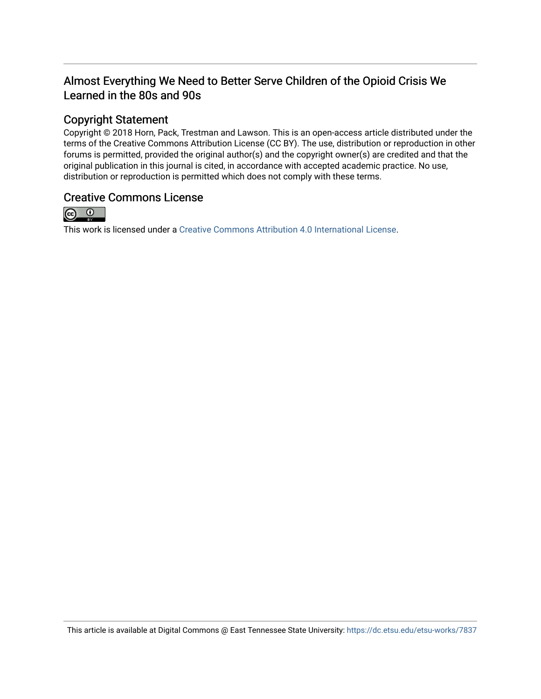# Almost Everything We Need to Better Serve Children of the Opioid Crisis We Learned in the 80s and 90s

# Copyright Statement

Copyright © 2018 Horn, Pack, Trestman and Lawson. This is an open-access article distributed under the terms of the Creative Commons Attribution License (CC BY). The use, distribution or reproduction in other forums is permitted, provided the original author(s) and the copyright owner(s) are credited and that the original publication in this journal is cited, in accordance with accepted academic practice. No use, distribution or reproduction is permitted which does not comply with these terms.

## Creative Commons License



This work is licensed under a [Creative Commons Attribution 4.0 International License.](https://creativecommons.org/licenses/by/4.0/)

This article is available at Digital Commons @ East Tennessee State University: <https://dc.etsu.edu/etsu-works/7837>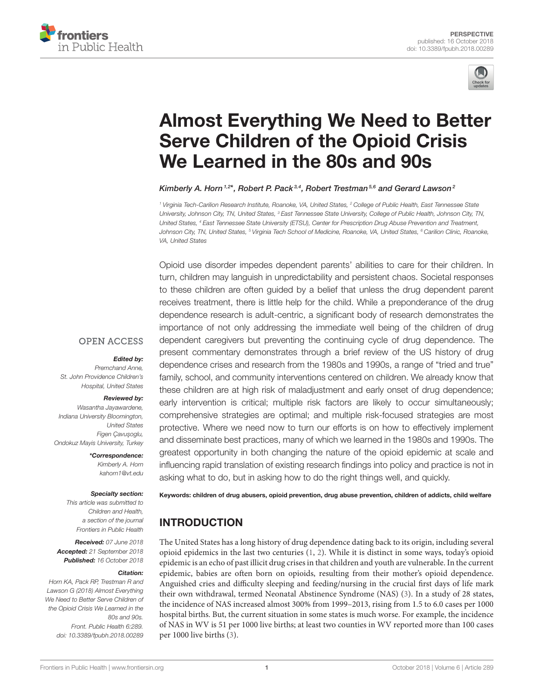



# [Almost Everything We Need to Better](https://www.frontiersin.org/articles/10.3389/fpubh.2018.00289/full) Serve Children of the Opioid Crisis We Learned in the 80s and 90s

[Kimberly A. Horn](http://loop.frontiersin.org/people/110661/overview)  $1.2*$ , [Robert P. Pack](http://loop.frontiersin.org/people/209791/overview) $^{3,4}$ , Robert Trestman $^{5,6}$  and [Gerard Lawson](http://loop.frontiersin.org/people/609202/overview) $^2$ 

<sup>1</sup> Virginia Tech-Carilion Research Institute, Roanoke, VA, United States, <sup>2</sup> College of Public Health, East Tennessee State University, Johnson City, TN, United States, <sup>3</sup> East Tennessee State University, College of Public Health, Johnson City, TN, United States, <sup>4</sup> East Tennessee State University (ETSU), Center for Prescription Drug Abuse Prevention and Treatment, Johnson City, TN, United States, <sup>5</sup> Virginia Tech School of Medicine, Roanoke, VA, United States, <sup>6</sup> Carilion Clinic, Roanoke, VA, United States

Opioid use disorder impedes dependent parents' abilities to care for their children. In turn, children may languish in unpredictability and persistent chaos. Societal responses to these children are often guided by a belief that unless the drug dependent parent receives treatment, there is little help for the child. While a preponderance of the drug dependence research is adult-centric, a significant body of research demonstrates the importance of not only addressing the immediate well being of the children of drug dependent caregivers but preventing the continuing cycle of drug dependence. The present commentary demonstrates through a brief review of the US history of drug dependence crises and research from the 1980s and 1990s, a range of "tried and true" family, school, and community interventions centered on children. We already know that these children are at high risk of maladjustment and early onset of drug dependence; early intervention is critical; multiple risk factors are likely to occur simultaneously; comprehensive strategies are optimal; and multiple risk-focused strategies are most protective. Where we need now to turn our efforts is on how to effectively implement and disseminate best practices, many of which we learned in the 1980s and 1990s. The greatest opportunity in both changing the nature of the opioid epidemic at scale and influencing rapid translation of existing research findings into policy and practice is not in asking what to do, but in asking how to do the right things well, and quickly.

### **OPEN ACCESS**

#### Edited by:

Premchand Anne, St. John Providence Children's Hospital, United States

#### Reviewed by:

Wasantha Jayawardene, Indiana University Bloomington, United States Figen Çavusoqlu. Ondokuz Mayis University, Turkey

> \*Correspondence: Kimberly A. Horn [kahorn1@vt.edu](mailto:kahorn1@vt.edu)

#### Specialty section:

This article was submitted to Children and Health, a section of the journal Frontiers in Public Health

Received: 07 June 2018 Accepted: 21 September 2018 Published: 16 October 2018

#### Citation:

Horn KA, Pack RP, Trestman R and Lawson G (2018) Almost Everything We Need to Better Serve Children of the Opioid Crisis We Learned in the 80s and 90s. Front. Public Health 6:289. doi: [10.3389/fpubh.2018.00289](https://doi.org/10.3389/fpubh.2018.00289)

Keywords: children of drug abusers, opioid prevention, drug abuse prevention, children of addicts, child welfare

# INTRODUCTION

The United States has a long history of drug dependence dating back to its origin, including several opioid epidemics in the last two centuries  $(1, 2)$  $(1, 2)$ . While it is distinct in some ways, today's opioid epidemic is an echo of past illicit drug crises in that children and youth are vulnerable. In the current epidemic, babies are often born on opioids, resulting from their mother's opioid dependence. Anguished cries and difficulty sleeping and feeding/nursing in the crucial first days of life mark their own withdrawal, termed Neonatal Abstinence Syndrome (NAS) [\(3\)](#page-5-2). In a study of 28 states, the incidence of NAS increased almost 300% from 1999–2013, rising from 1.5 to 6.0 cases per 1000 hospital births. But, the current situation in some states is much worse. For example, the incidence of NAS in WV is 51 per 1000 live births; at least two counties in WV reported more than 100 cases per 1000 live births [\(3\)](#page-5-2).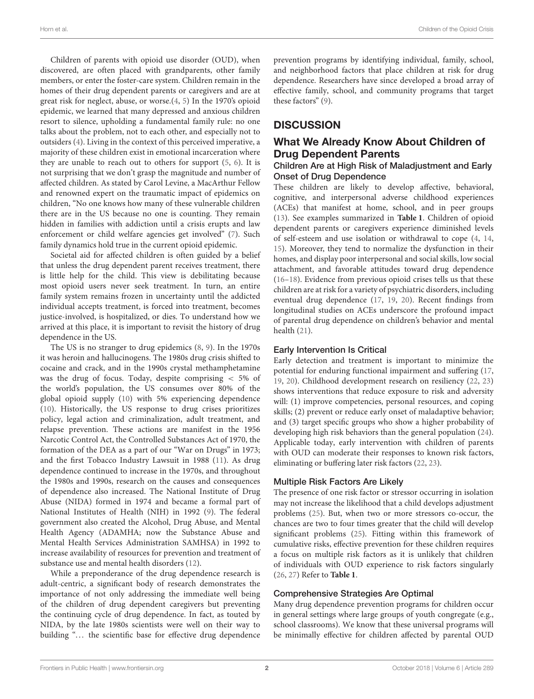Children of parents with opioid use disorder (OUD), when discovered, are often placed with grandparents, other family members, or enter the foster-care system. Children remain in the homes of their drug dependent parents or caregivers and are at great risk for neglect, abuse, or worse.[\(4,](#page-5-3) [5\)](#page-6-0) In the 1970's opioid epidemic, we learned that many depressed and anxious children resort to silence, upholding a fundamental family rule: no one talks about the problem, not to each other, and especially not to outsiders [\(4\)](#page-5-3). Living in the context of this perceived imperative, a majority of these children exist in emotional incarceration where they are unable to reach out to others for support [\(5,](#page-6-0) [6\)](#page-6-1). It is not surprising that we don't grasp the magnitude and number of affected children. As stated by Carol Levine, a MacArthur Fellow and renowned expert on the traumatic impact of epidemics on children, "No one knows how many of these vulnerable children there are in the US because no one is counting. They remain hidden in families with addiction until a crisis erupts and law enforcement or child welfare agencies get involved" [\(7\)](#page-6-2). Such family dynamics hold true in the current opioid epidemic.

Societal aid for affected children is often guided by a belief that unless the drug dependent parent receives treatment, there is little help for the child. This view is debilitating because most opioid users never seek treatment. In turn, an entire family system remains frozen in uncertainty until the addicted individual accepts treatment, is forced into treatment, becomes justice-involved, is hospitalized, or dies. To understand how we arrived at this place, it is important to revisit the history of drug dependence in the US.

The US is no stranger to drug epidemics [\(8,](#page-6-3) [9\)](#page-6-4). In the 1970s it was heroin and hallucinogens. The 1980s drug crisis shifted to cocaine and crack, and in the 1990s crystal methamphetamine was the drug of focus. Today, despite comprising < 5% of the world's population, the US consumes over 80% of the global opioid supply [\(10\)](#page-6-5) with 5% experiencing dependence [\(10\)](#page-6-5). Historically, the US response to drug crises prioritizes policy, legal action and criminalization, adult treatment, and relapse prevention. These actions are manifest in the 1956 Narcotic Control Act, the Controlled Substances Act of 1970, the formation of the DEA as a part of our "War on Drugs" in 1973; and the first Tobacco Industry Lawsuit in 1988 [\(11\)](#page-6-6). As drug dependence continued to increase in the 1970s, and throughout the 1980s and 1990s, research on the causes and consequences of dependence also increased. The National Institute of Drug Abuse (NIDA) formed in 1974 and became a formal part of National Institutes of Health (NIH) in 1992 [\(9\)](#page-6-4). The federal government also created the Alcohol, Drug Abuse, and Mental Health Agency (ADAMHA; now the Substance Abuse and Mental Health Services Administration SAMHSA) in 1992 to increase availability of resources for prevention and treatment of substance use and mental health disorders [\(12\)](#page-6-7).

While a preponderance of the drug dependence research is adult-centric, a significant body of research demonstrates the importance of not only addressing the immediate well being of the children of drug dependent caregivers but preventing the continuing cycle of drug dependence. In fact, as touted by NIDA, by the late 1980s scientists were well on their way to building "... the scientific base for effective drug dependence prevention programs by identifying individual, family, school, and neighborhood factors that place children at risk for drug dependence. Researchers have since developed a broad array of effective family, school, and community programs that target these factors" [\(9\)](#page-6-4).

### **DISCUSSION**

### What We Already Know About Children of Drug Dependent Parents

#### Children Are at High Risk of Maladjustment and Early Onset of Drug Dependence

These children are likely to develop affective, behavioral, cognitive, and interpersonal adverse childhood experiences (ACEs) that manifest at home, school, and in peer groups [\(13\)](#page-6-8). See examples summarized in **[Table 1](#page-4-0)**. Children of opioid dependent parents or caregivers experience diminished levels of self-esteem and use isolation or withdrawal to cope [\(4,](#page-5-3) [14,](#page-6-9) [15\)](#page-6-10). Moreover, they tend to normalize the dysfunction in their homes, and display poor interpersonal and social skills, low social attachment, and favorable attitudes toward drug dependence [\(16](#page-6-11)[–18\)](#page-6-12). Evidence from previous opioid crises tells us that these children are at risk for a variety of psychiatric disorders, including eventual drug dependence [\(17,](#page-6-13) [19,](#page-6-14) [20\)](#page-6-15). Recent findings from longitudinal studies on ACEs underscore the profound impact of parental drug dependence on children's behavior and mental health [\(21\)](#page-6-16).

### Early Intervention Is Critical

Early detection and treatment is important to minimize the potential for enduring functional impairment and suffering [\(17,](#page-6-13) [19,](#page-6-14) [20\)](#page-6-15). Childhood development research on resiliency [\(22,](#page-6-17) [23\)](#page-6-18) shows interventions that reduce exposure to risk and adversity will: (1) improve competencies, personal resources, and coping skills; (2) prevent or reduce early onset of maladaptive behavior; and (3) target specific groups who show a higher probability of developing high risk behaviors than the general population [\(24\)](#page-6-19). Applicable today, early intervention with children of parents with OUD can moderate their responses to known risk factors, eliminating or buffering later risk factors [\(22,](#page-6-17) [23\)](#page-6-18).

### Multiple Risk Factors Are Likely

The presence of one risk factor or stressor occurring in isolation may not increase the likelihood that a child develops adjustment problems [\(25\)](#page-6-20). But, when two or more stressors co-occur, the chances are two to four times greater that the child will develop significant problems [\(25\)](#page-6-20). Fitting within this framework of cumulative risks, effective prevention for these children requires a focus on multiple risk factors as it is unlikely that children of individuals with OUD experience to risk factors singularly [\(26,](#page-6-21) [27\)](#page-6-22) Refer to **[Table 1](#page-4-0)**.

#### Comprehensive Strategies Are Optimal

Many drug dependence prevention programs for children occur in general settings where large groups of youth congregate (e.g., school classrooms). We know that these universal programs will be minimally effective for children affected by parental OUD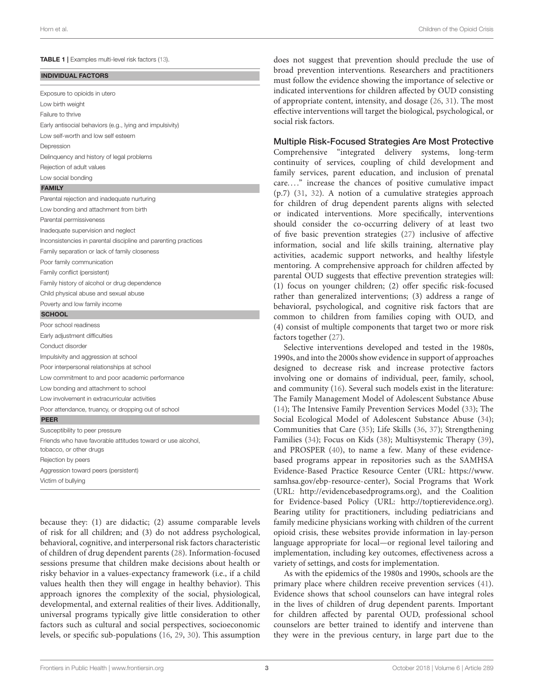<span id="page-4-0"></span>Exposure to opioids in utero Low birth weight Failure to thrive Early antisocial behaviors (e.g., lying and impulsivity) Low self-worth and low self esteem Depression Delinquency and history of legal problems Rejection of adult values Low social bonding

#### FAMILY

Parental rejection and inadequate nurturing Low bonding and attachment from birth Parental permissiveness Inadequate supervision and neglect Inconsistencies in parental discipline and parenting practices Family separation or lack of family closeness Poor family communication Family conflict (persistent) Family history of alcohol or drug dependence Child physical abuse and sexual abuse Poverty and low family income **SCHOOL** Poor school readiness Early adjustment difficulties Conduct disorder Impulsivity and aggression at school Poor interpersonal relationships at school Low commitment to and poor academic performance Low bonding and attachment to school Low involvement in extracurricular activities Poor attendance, truancy, or dropping out of school

#### PEER

Susceptibility to peer pressure Friends who have favorable attitudes toward or use alcohol, tobacco, or other drugs Rejection by peers Aggression toward peers (persistent) Victim of bullying

because they: (1) are didactic; (2) assume comparable levels of risk for all children; and (3) do not address psychological, behavioral, cognitive, and interpersonal risk factors characteristic of children of drug dependent parents [\(28\)](#page-6-23). Information-focused sessions presume that children make decisions about health or risky behavior in a values-expectancy framework (i.e., if a child values health then they will engage in healthy behavior). This approach ignores the complexity of the social, physiological, developmental, and external realities of their lives. Additionally, universal programs typically give little consideration to other factors such as cultural and social perspectives, socioeconomic levels, or specific sub-populations [\(16,](#page-6-11) [29,](#page-6-24) [30\)](#page-6-25). This assumption does not suggest that prevention should preclude the use of broad prevention interventions. Researchers and practitioners must follow the evidence showing the importance of selective or indicated interventions for children affected by OUD consisting of appropriate content, intensity, and dosage [\(26,](#page-6-21) [31\)](#page-6-26). The most effective interventions will target the biological, psychological, or social risk factors.

#### Multiple Risk-Focused Strategies Are Most Protective

Comprehensive "integrated delivery systems, long-term continuity of services, coupling of child development and family services, parent education, and inclusion of prenatal care...." increase the chances of positive cumulative impact (p.7) [\(31,](#page-6-26) [32\)](#page-6-27). A notion of a cumulative strategies approach for children of drug dependent parents aligns with selected or indicated interventions. More specifically, interventions should consider the co-occurring delivery of at least two of five basic prevention strategies [\(27\)](#page-6-22) inclusive of affective information, social and life skills training, alternative play activities, academic support networks, and healthy lifestyle mentoring. A comprehensive approach for children affected by parental OUD suggests that effective prevention strategies will: (1) focus on younger children; (2) offer specific risk-focused rather than generalized interventions; (3) address a range of behavioral, psychological, and cognitive risk factors that are common to children from families coping with OUD, and (4) consist of multiple components that target two or more risk factors together [\(27\)](#page-6-22).

Selective interventions developed and tested in the 1980s, 1990s, and into the 2000s show evidence in support of approaches designed to decrease risk and increase protective factors involving one or domains of individual, peer, family, school, and community [\(16\)](#page-6-11). Several such models exist in the literature: The Family Management Model of Adolescent Substance Abuse [\(14\)](#page-6-9); The Intensive Family Prevention Services Model [\(33\)](#page-6-28); The Social Ecological Model of Adolescent Substance Abuse [\(34\)](#page-6-29); Communities that Care [\(35\)](#page-6-30); Life Skills [\(36,](#page-6-31) [37\)](#page-6-32); Strengthening Families [\(34\)](#page-6-29); Focus on Kids [\(38\)](#page-6-33); Multisystemic Therapy [\(39\)](#page-6-34), and PROSPER [\(40\)](#page-6-35), to name a few. Many of these evidencebased programs appear in repositories such as the SAMHSA Evidence-Based Practice Resource Center (URL: [https://www.](https://www.samhsa.gov/ebp-resource-center) [samhsa.gov/ebp-resource-center\)](https://www.samhsa.gov/ebp-resource-center), Social Programs that Work (URL: [http://evidencebasedprograms.org\)](http://evidencebasedprograms.org), and the Coalition for Evidence-based Policy (URL: [http://toptierevidence.org\)](http://toptierevidence.org). Bearing utility for practitioners, including pediatricians and family medicine physicians working with children of the current opioid crisis, these websites provide information in lay-person language appropriate for local—or regional level tailoring and implementation, including key outcomes, effectiveness across a variety of settings, and costs for implementation.

As with the epidemics of the 1980s and 1990s, schools are the primary place where children receive prevention services [\(41\)](#page-6-36). Evidence shows that school counselors can have integral roles in the lives of children of drug dependent parents. Important for children affected by parental OUD, professional school counselors are better trained to identify and intervene than they were in the previous century, in large part due to the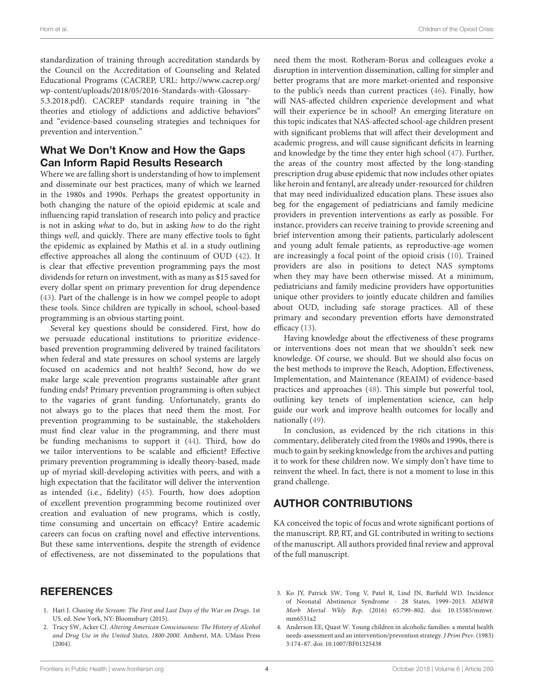standardization of training through accreditation standards by the Council on the Accreditation of Counseling and Related Educational Programs (CACREP, URL: [http://www.cacrep.org/](http://www.cacrep.org/wp-content/uploads/2018/05/2016-Standards-with-Glossary-5.3.2018.pdf) [wp-content/uploads/2018/05/2016-Standards-with-Glossary-](http://www.cacrep.org/wp-content/uploads/2018/05/2016-Standards-with-Glossary-5.3.2018.pdf)[5.3.2018.pdf\)](http://www.cacrep.org/wp-content/uploads/2018/05/2016-Standards-with-Glossary-5.3.2018.pdf). CACREP standards require training in "the theories and etiology of addictions and addictive behaviors" and "evidence-based counseling strategies and techniques for prevention and intervention."

### What We Don't Know and How the Gaps Can Inform Rapid Results Research

Where we are falling short is understanding of how to implement and disseminate our best practices, many of which we learned in the 1980s and 1990s. Perhaps the greatest opportunity in both changing the nature of the opioid epidemic at scale and influencing rapid translation of research into policy and practice is not in asking what to do, but in asking how to do the right things well, and quickly. There are many effective tools to fight the epidemic as explained by Mathis et al. in a study outlining effective approaches all along the continuum of OUD [\(42\)](#page-6-37). It is clear that effective prevention programming pays the most dividends for return on investment, with as many as \$15 saved for every dollar spent on primary prevention for drug dependence [\(43\)](#page-6-38). Part of the challenge is in how we compel people to adopt these tools. Since children are typically in school, school-based programming is an obvious starting point.

Several key questions should be considered. First, how do we persuade educational institutions to prioritize evidencebased prevention programming delivered by trained facilitators when federal and state pressures on school systems are largely focused on academics and not health? Second, how do we make large scale prevention programs sustainable after grant funding ends? Primary prevention programming is often subject to the vagaries of grant funding. Unfortunately, grants do not always go to the places that need them the most. For prevention programming to be sustainable, the stakeholders must find clear value in the programming, and there must be funding mechanisms to support it [\(44\)](#page-6-39). Third, how do we tailor interventions to be scalable and efficient? Effective primary prevention programming is ideally theory-based, made up of myriad skill-developing activities with peers, and with a high expectation that the facilitator will deliver the intervention as intended (i.e., fidelity) [\(45\)](#page-6-40). Fourth, how does adoption of excellent prevention programming become routinized over creation and evaluation of new programs, which is costly, time consuming and uncertain on efficacy? Entire academic careers can focus on crafting novel and effective interventions. But these same interventions, despite the strength of evidence of effectiveness, are not disseminated to the populations that

### REFERENCES

- <span id="page-5-0"></span>1. Hari J. Chasing the Scream: The First and Last Days of the War on Drugs. 1st US. ed. New York, NY: Bloomsbury (2015).
- <span id="page-5-1"></span>2. Tracy SW, Acker CJ. Altering American Consciousness: The History of Alcohol and Drug Use in the United States, 1800-2000. Amherst, MA: UMass Press (2004).

need them the most. Rotheram-Borus and colleagues evoke a disruption in intervention dissemination, calling for simpler and better programs that are more market-oriented and responsive to the public's needs than current practices [\(46\)](#page-6-41). Finally, how will NAS-affected children experience development and what will their experience be in school? An emerging literature on this topic indicates that NAS-affected school-age children present with significant problems that will affect their development and academic progress, and will cause significant deficits in learning and knowledge by the time they enter high school [\(47\)](#page-7-0). Further, the areas of the country most affected by the long-standing prescription drug abuse epidemic that now includes other opiates like heroin and fentanyl, are already under-resourced for children that may need individualized education plans. These issues also beg for the engagement of pediatricians and family medicine providers in prevention interventions as early as possible. For instance, providers can receive training to provide screening and brief intervention among their patients, particularly adolescent and young adult female patients, as reproductive-age women are increasingly a focal point of the opioid crisis [\(10\)](#page-6-5). Trained providers are also in positions to detect NAS symptoms when they may have been otherwise missed. At a minimum, pediatricians and family medicine providers have opportunities unique other providers to jointly educate children and families about OUD, including safe storage practices. All of these primary and secondary prevention efforts have demonstrated efficacy [\(13\)](#page-6-8).

Having knowledge about the effectiveness of these programs or interventions does not mean that we shouldn't seek new knowledge. Of course, we should. But we should also focus on the best methods to improve the Reach, Adoption, Effectiveness, Implementation, and Maintenance (REAIM) of evidence-based practices and approaches [\(48\)](#page-7-1). This simple but powerful tool, outlining key tenets of implementation science, can help guide our work and improve health outcomes for locally and nationally [\(49\)](#page-7-2).

In conclusion, as evidenced by the rich citations in this commentary, deliberately cited from the 1980s and 1990s, there is much to gain by seeking knowledge from the archives and putting it to work for these children now. We simply don't have time to reinvent the wheel. In fact, there is not a moment to lose in this grand challenge.

### AUTHOR CONTRIBUTIONS

KA conceived the topic of focus and wrote significant portions of the manuscript. RP, RT, and GL contributed in writing to sections of the manuscript. All authors provided final review and approval of the full manuscript.

- <span id="page-5-2"></span>3. Ko JY, Patrick SW, Tong V, Patel R, Lind JN, Barfield WD. Incidence of Neonatal Abstinence Syndrome - 28 States, 1999–2013. MMWR Morb Mortal Wkly Rep[. \(2016\) 65:799–802. doi: 10.15585/mmwr.](https://doi.org/10.15585/mmwr.mm6531a2) mm6531a2
- <span id="page-5-3"></span>4. Anderson EE, Quast W. Young children in alcoholic families: a mental health needs-assessment and an intervention/prevention strategy. J Prim Prev. (1983) 3:174–87. doi: [10.1007/BF01325438](https://doi.org/10.1007/BF01325438)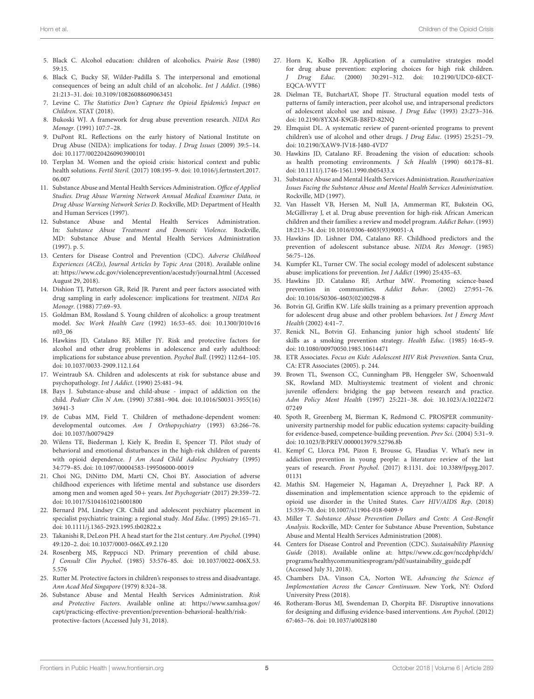- <span id="page-6-0"></span>5. Black C. Alcohol education: children of alcoholics. Prairie Rose (1980) 59:15.
- <span id="page-6-1"></span>6. Black C, Bucky SF, Wilder-Padilla S. The interpersonal and emotional consequences of being an adult child of an alcoholic. Int J Addict. (1986) 21:213–31. doi: [10.3109/10826088609063451](https://doi.org/10.3109/10826088609063451)
- <span id="page-6-2"></span>7. Levine C. The Statistics Don't Capture the Opioid Epidemic's Impact on Children. STAT (2018).
- <span id="page-6-3"></span>8. Bukoski WJ. A framework for drug abuse prevention research. NIDA Res Monogr. (1991) 107:7–28.
- <span id="page-6-4"></span>9. DuPont RL. Reflections on the early history of National Institute on Drug Abuse (NIDA): implications for today. J Drug Issues (2009) 39:5–14. doi: [10.1177/002204260903900101](https://doi.org/10.1177/002204260903900101)
- <span id="page-6-5"></span>10. Terplan M. Women and the opioid crisis: historical context and public health solutions. Fertil Steril. [\(2017\) 108:195–9. doi: 10.1016/j.fertnstert.2017.](https://doi.org/10.1016/j.fertnstert.2017.06.007) 06.007
- <span id="page-6-6"></span>11. Substance Abuse and Mental Health Services Administration. Office of Applied Studies. Drug Abuse Warning Network Annual Medical Examiner Data, in Drug Abuse Warning Network Series D. Rockville, MD: Department of Health and Human Services (1997).
- <span id="page-6-7"></span>12. Substance Abuse and Mental Health Services Administration. In: Substance Abuse Treatment and Domestic Violence. Rockville, MD: Substance Abuse and Mental Health Services Administration (1997). p. 5.
- <span id="page-6-8"></span>13. Centers for Disease Control and Prevention (CDC). Adverse Childhood Experiences (ACEs), Journal Articles by Topic Area (2018). Available online at:<https://www.cdc.gov/violenceprevention/acestudy/journal.html> (Accessed August 29, 2018).
- <span id="page-6-9"></span>14. Dishion TJ, Patterson GR, Reid JR. Parent and peer factors associated with drug sampling in early adolescence: implications for treatment. NIDA Res Monogr. (1988) 77:69–93.
- <span id="page-6-10"></span>15. Goldman BM, Rossland S. Young children of alcoholics: a group treatment model. Soc Work Health Care [\(1992\) 16:53–65. doi: 10.1300/J010v16](https://doi.org/10.1300/J010v16n03_06) n03\_06
- <span id="page-6-11"></span>16. Hawkins JD, Catalano RF, Miller JY. Risk and protective factors for alcohol and other drug problems in adolescence and early adulthood: implications for substance abuse prevention. Psychol Bull. (1992) 112:64–105. doi: [10.1037/0033-2909.112.1.64](https://doi.org/10.1037/0033-2909.112.1.64)
- <span id="page-6-13"></span>17. Weintraub SA. Children and adolescents at risk for substance abuse and psychopathology. Int J Addict. (1990) 25:481–94.
- <span id="page-6-12"></span>18. Bays J. Substance-abuse and child-abuse - impact of addiction on the child. Pediatr Clin N Am[. \(1990\) 37:881–904. doi: 10.1016/S0031-3955\(16\)](https://doi.org/10.1016/S0031-3955(16)36941-3) 36941-3
- <span id="page-6-14"></span>19. de Cubas MM, Field T. Children of methadone-dependent women: developmental outcomes. Am J Orthopsychiatry (1993) 63:266–76. doi: [10.1037/h0079429](https://doi.org/10.1037/h0079429)
- <span id="page-6-15"></span>20. Wilens TE, Biederman J, Kiely K, Bredin E, Spencer TJ. Pilot study of behavioral and emotional disturbances in the high-risk children of parents with opioid dependence. J Am Acad Child Adolesc Psychiatry (1995) 34:779–85. doi: [10.1097/00004583-199506000-00019](https://doi.org/10.1097/00004583-199506000-00019)
- <span id="page-6-16"></span>21. Choi NG, DiNitto DM, Marti CN, Choi BY. Association of adverse childhood experiences with lifetime mental and substance use disorders among men and women aged 50+ years. Int Psychogeriatr (2017) 29:359–72. doi: [10.1017/S1041610216001800](https://doi.org/10.1017/S1041610216001800)
- <span id="page-6-17"></span>22. Bernard PM, Lindsey CR. Child and adolescent psychiatry placement in specialist psychiatric training: a regional study. Med Educ. (1995) 29:165–71. doi: [10.1111/j.1365-2923.1995.tb02822.x](https://doi.org/10.1111/j.1365-2923.1995.tb02822.x)
- <span id="page-6-18"></span>23. Takanishi R, DeLeon PH. A head start for the 21st century. Am Psychol. (1994) 49:120–2. doi: [10.1037/0003-066X.49.2.120](https://doi.org/10.1037/0003-066X.49.2.120)
- <span id="page-6-19"></span>24. Rosenberg MS, Reppucci ND. Primary prevention of child abuse. J Consult Clin Psychol[. \(1985\) 53:576–85. doi: 10.1037/0022-006X.53.](https://doi.org/10.1037/0022-006X.53.5.576) 5.576
- <span id="page-6-20"></span>25. Rutter M. Protective factors in children's responses to stress and disadvantage. Ann Acad Med Singapore (1979) 8:324–38.
- <span id="page-6-21"></span>26. Substance Abuse and Mental Health Services Administration. Risk and Protective Factors. Available online at: [https://www.samhsa.gov/](https://www.samhsa.gov/capt/practicing-effective-prevention/prevention-behavioral-health/risk-protective-factors) [capt/practicing-effective-prevention/prevention-behavioral-health/risk](https://www.samhsa.gov/capt/practicing-effective-prevention/prevention-behavioral-health/risk-protective-factors)[protective-factors](https://www.samhsa.gov/capt/practicing-effective-prevention/prevention-behavioral-health/risk-protective-factors) (Accessed July 31, 2018).
- <span id="page-6-22"></span>27. Horn K, Kolbo JR. Application of a cumulative strategies model for drug abuse prevention: exploring choices for high risk children. J Drug Educ[. \(2000\) 30:291–312. doi: 10.2190/UDC0-6ECT-](https://doi.org/10.2190/UDC0-6ECT-EQCA-WVTT)EQCA-WVTT
- <span id="page-6-23"></span>28. Dielman TE, ButchartAT, Shope JT. Structural equation model tests of patterns of family interaction, peer alcohol use, and intrapersonal predictors of adolescent alcohol use and misuse. J Drug Educ (1993) 23:273–316. doi: [10.2190/8YXM-K9GB-B8FD-82NQ](https://doi.org/10.2190/8YXM-K9GB-B8FD-82NQ)
- <span id="page-6-24"></span>29. Elmquist DL. A systematic review of parent-oriented programs to prevent children's use of alcohol and other drugs. J Drug Educ. (1995) 25:251–79. doi: [10.2190/XAW9-JV18-J480-4VD7](https://doi.org/10.2190/XAW9-JV18-J480-4VD7)
- <span id="page-6-25"></span>30. Hawkins JD, Catalano RF. Broadening the vision of education: schools as health promoting environments. J Sch Health (1990) 60:178–81. doi: [10.1111/j.1746-1561.1990.tb05433.x](https://doi.org/10.1111/j.1746-1561.1990.tb05433.x)
- <span id="page-6-26"></span>31. Substance Abuse and Mental Health Services Administration. Reauthorization Issues Facing the Substance Abuse and Mental Health Services Administration. Rockville, MD (1997).
- <span id="page-6-27"></span>32. Van Hasselt VB, Hersen M, Null JA, Ammerman RT, Bukstein OG, McGillivray J, et al. Drug abuse prevention for high-risk African American children and their families: a review and model program. Addict Behav. (1993) 18:213–34. doi: [10.1016/0306-4603\(93\)90051-A](https://doi.org/10.1016/0306-4603(93)90051-A)
- <span id="page-6-28"></span>33. Hawkins JD. Lishner DM, Catalano RF. Childhood predictors and the prevention of adolescent substance abuse. NIDA Res Monogr. (1985) 56:75–126.
- <span id="page-6-29"></span>34. Kumpfer KL, Turner CW. The social ecology model of adolescent substance abuse: implications for prevention. Int J Addict (1990) 25:435–63.
- <span id="page-6-30"></span>35. Hawkins JD. Catalano RF, Arthur MW. Promoting science-based prevention in communities. Addict Behav. (2002) 27:951–76. doi: [10.1016/S0306-4603\(02\)00298-8](https://doi.org/10.1016/S0306-4603(02)00298-8)
- <span id="page-6-31"></span>36. Botvin GJ, Griffin KW. Life skills training as a primary prevention approach for adolescent drug abuse and other problem behaviors. Int J Emerg Ment Health (2002) 4:41–7.
- <span id="page-6-32"></span>37. Renick NL, Botvin GJ. Enhancing junior high school students' life skills as a smoking prevention strategy. Health Educ. (1985) 16:45–9. doi: [10.1080/00970050.1985.10614471](https://doi.org/10.1080/00970050.1985.10614471)
- <span id="page-6-33"></span>38. ETR Associates. Focus on Kids: Adolescent HIV Risk Prevention. Santa Cruz, CA: ETR Associates (2005). p. 244.
- <span id="page-6-34"></span>39. Brown TL, Swenson CC, Cunningham PB, Henggeler SW, Schoenwald SK, Rowland MD. Multisystemic treatment of violent and chronic juvenile offenders: bridging the gap between research and practice. Adm Policy Ment Health [\(1997\) 25:221–38. doi: 10.1023/A:10222472](https://doi.org/10.1023/A:1022247207249) 07249
- <span id="page-6-35"></span>40. Spoth R, Greenberg M, Bierman K, Redmond C. PROSPER communityuniversity partnership model for public education systems: capacity-building for evidence-based, competence-building prevention. Prev Sci. (2004) 5:31–9. doi: [10.1023/B:PREV.0000013979.52796.8b](https://doi.org/10.1023/B:PREV.0000013979.52796.8b)
- <span id="page-6-36"></span>41. Kempf C, Llorca PM, Pizon F, Brousse G, Flaudias V. What's new in addiction prevention in young people: a literature review of the last years of research. Front Psychol[. \(2017\) 8:1131. doi: 10.3389/fpsyg.2017.](https://doi.org/10.3389/fpsyg.2017.01131) 01131
- <span id="page-6-37"></span>42. Mathis SM. Hagemeier N, Hagaman A, Dreyzehner J, Pack RP. A dissemination and implementation science approach to the epidemic of opioid use disorder in the United States. Curr HIV/AIDS Rep. (2018) 15:359–70. doi: [10.1007/s11904-018-0409-9](https://doi.org/10.1007/s11904-018-0409-9)
- <span id="page-6-38"></span>43. Miller T. Substance Abuse Prevention Dollars and Cents: A Cost-Benefit Analysis. Rockville, MD: Center for Substance Abuse Prevention, Substance Abuse and Mental Health Services Administration (2008).
- <span id="page-6-39"></span>44. Centers for Disease Control and Prevention (CDC). Sustainability Planning Guide (2018). Available online at: [https://www.cdc.gov/nccdphp/dch/](https://www.cdc.gov/nccdphp/dch/programs/healthycommunitiesprogram/pdf/sustainability_guide.pdf) [programs/healthycommunitiesprogram/pdf/sustainability\\_guide.pdf](https://www.cdc.gov/nccdphp/dch/programs/healthycommunitiesprogram/pdf/sustainability_guide.pdf) (Accessed July 31, 2018).
- <span id="page-6-40"></span>45. Chambers DA. Vinson CA, Norton WE. Advancing the Science of Implementation Across the Cancer Continuum. New York, NY: Oxford University Press (2018).
- <span id="page-6-41"></span>46. Rotheram-Borus MJ, Swendeman D, Chorpita BF. Disruptive innovations for designing and diffusing evidence-based interventions. Am Psychol. (2012) 67:463–76. doi: [10.1037/a0028180](https://doi.org/10.1037/a0028180)